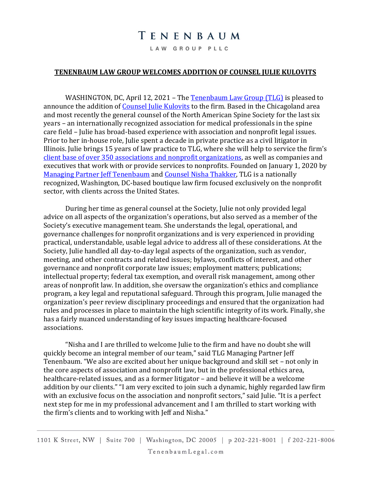## TENENBAUM

LAW GROUP PLLC

## **TENENBAUM LAW GROUP WELCOMES ADDITION OF COUNSEL JULIE KULOVITS**

WASHINGTON, DC, April 12, 2021 – The [Tenenbaum Law Group \(TLG\)](https://www.tenenbaumlegal.com/) is pleased to announce the addition of [Counsel Julie Kulovits](https://www.tenenbaumlegal.com/attorneys/julie-b-kulovits/) to the firm. Based in the Chicagoland area and most recently the general counsel of the North American Spine Society for the last six years – an internationally recognized association for medical professionals in the spine care field – Julie has broad-based experience with association and nonprofit legal issues. Prior to her in-house role, Julie spent a decade in private practice as a civil litigator in Illinois. Julie brings 15 years of law practice to TLG, where she will help to service the firm's client base of over 350 [associations and nonprofit organizations,](https://www.tenenbaumlegal.com/representative-clients/) as well as companies and executives that work with or provide services to nonprofits. Founded on January 1, 2020 by [Managing Partner Jeff Tenenbaum](https://www.tenenbaumlegal.com/attorneys/jeffrey-s-tenenbaum/) and [Counsel Nisha Thakker,](https://www.tenenbaumlegal.com/attorneys/nisha-g-thakker/) TLG is a nationally recognized, Washington, DC-based boutique law firm focused exclusively on the nonprofit sector, with clients across the United States.

During her time as general counsel at the Society, Julie not only provided legal advice on all aspects of the organization's operations, but also served as a member of the Society's executive management team. She understands the legal, operational, and governance challenges for nonprofit organizations and is very experienced in providing practical, understandable, usable legal advice to address all of these considerations. At the Society, Julie handled all day-to-day legal aspects of the organization, such as vendor, meeting, and other contracts and related issues; bylaws, conflicts of interest, and other governance and nonprofit corporate law issues; employment matters; publications; intellectual property; federal tax exemption, and overall risk management, among other areas of nonprofit law. In addition, she oversaw the organization's ethics and compliance program, a key legal and reputational safeguard. Through this program, Julie managed the organization's peer review disciplinary proceedings and ensured that the organization had rules and processes in place to maintain the high scientific integrity of its work. Finally, she has a fairly nuanced understanding of key issues impacting healthcare-focused associations.

"Nisha and I are thrilled to welcome Julie to the firm and have no doubt she will quickly become an integral member of our team," said TLG Managing Partner Jeff Tenenbaum. "We also are excited about her unique background and skill set – not only in the core aspects of association and nonprofit law, but in the professional ethics area, healthcare-related issues, and as a former litigator – and believe it will be a welcome addition by our clients." "I am very excited to join such a dynamic, highly regarded law firm with an exclusive focus on the association and nonprofit sectors," said Julie. "It is a perfect next step for me in my professional advancement and I am thrilled to start working with the firm's clients and to working with Jeff and Nisha."